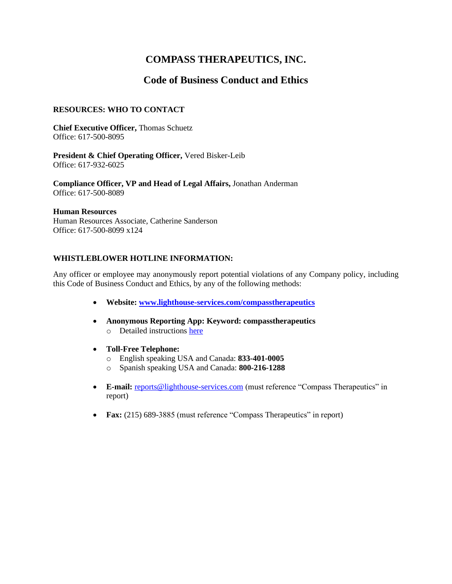# **COMPASS THERAPEUTICS, INC.**

# **Code of Business Conduct and Ethics**

#### **RESOURCES: WHO TO CONTACT**

**Chief Executive Officer,** Thomas Schuetz Office: 617-500-8095

**President & Chief Operating Officer,** Vered Bisker-Leib Office: 617-932-6025

**Compliance Officer, VP and Head of Legal Affairs,** Jonathan Anderman Office: 617-500-8089

#### **Human Resources**

Human Resources Associate, Catherine Sanderson Office: 617-500-8099 x124

#### **WHISTLEBLOWER HOTLINE INFORMATION:**

Any officer or employee may anonymously report potential violations of any Company policy, including this Code of Business Conduct and Ethics, by any of the following methods:

- **Website: [www.lighthouse-services.com/compasstherapeutics](https://protect-us.mimecast.com/s/8_bJCxkzK8UBzLMIvyEoY?domain=lighthouse-services.com)**
- **Anonymous Reporting App: Keyword: compasstherapeutics** o Detailed instructions [here](https://protect-us.mimecast.com/s/FiC9CKr73zH96DEFkImC8?domain=lighthouse-services.com)
- **Toll-Free Telephone:**
	- o English speaking USA and Canada: **833-401-0005**
	- o Spanish speaking USA and Canada: **800-216-1288**
- **E-mail:** [reports@lighthouse-services.com](mailto:reports@lighthouse-services.com) (must reference "Compass Therapeutics" in report)
- **Fax:** (215) 689-3885 (must reference "Compass Therapeutics" in report)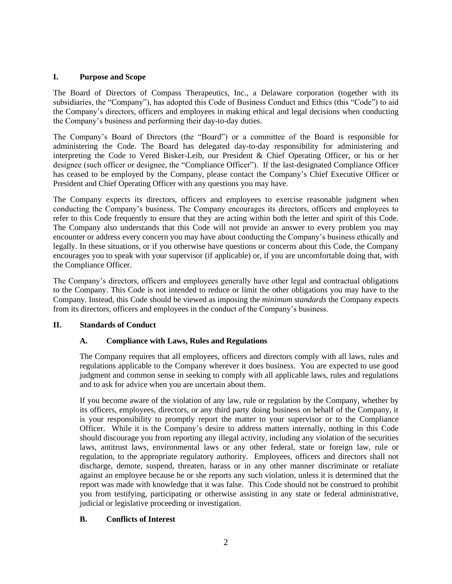#### **I. Purpose and Scope**

The Board of Directors of Compass Therapeutics, Inc., a Delaware corporation (together with its subsidiaries, the "Company"), has adopted this Code of Business Conduct and Ethics (this "Code") to aid the Company's directors, officers and employees in making ethical and legal decisions when conducting the Company's business and performing their day-to-day duties.

The Company's Board of Directors (the "Board") or a committee of the Board is responsible for administering the Code. The Board has delegated day-to-day responsibility for administering and interpreting the Code to Vered Bisker-Leib, our President & Chief Operating Officer, or his or her designee (such officer or designee, the "Compliance Officer"). If the last-designated Compliance Officer has ceased to be employed by the Company, please contact the Company's Chief Executive Officer or President and Chief Operating Officer with any questions you may have.

The Company expects its directors, officers and employees to exercise reasonable judgment when conducting the Company's business. The Company encourages its directors, officers and employees to refer to this Code frequently to ensure that they are acting within both the letter and spirit of this Code. The Company also understands that this Code will not provide an answer to every problem you may encounter or address every concern you may have about conducting the Company's business ethically and legally. In these situations, or if you otherwise have questions or concerns about this Code, the Company encourages you to speak with your supervisor (if applicable) or, if you are uncomfortable doing that, with the Compliance Officer.

The Company's directors, officers and employees generally have other legal and contractual obligations to the Company. This Code is not intended to reduce or limit the other obligations you may have to the Company. Instead, this Code should be viewed as imposing the *minimum standards* the Company expects from its directors, officers and employees in the conduct of the Company's business.

#### **II. Standards of Conduct**

# **A. Compliance with Laws, Rules and Regulations**

The Company requires that all employees, officers and directors comply with all laws, rules and regulations applicable to the Company wherever it does business. You are expected to use good judgment and common sense in seeking to comply with all applicable laws, rules and regulations and to ask for advice when you are uncertain about them.

If you become aware of the violation of any law, rule or regulation by the Company, whether by its officers, employees, directors, or any third party doing business on behalf of the Company, it is your responsibility to promptly report the matter to your supervisor or to the Compliance Officer. While it is the Company's desire to address matters internally, nothing in this Code should discourage you from reporting any illegal activity, including any violation of the securities laws, antitrust laws, environmental laws or any other federal, state or foreign law, rule or regulation, to the appropriate regulatory authority. Employees, officers and directors shall not discharge, demote, suspend, threaten, harass or in any other manner discriminate or retaliate against an employee because he or she reports any such violation, unless it is determined that the report was made with knowledge that it was false. This Code should not be construed to prohibit you from testifying, participating or otherwise assisting in any state or federal administrative, judicial or legislative proceeding or investigation.

# **B. Conflicts of Interest**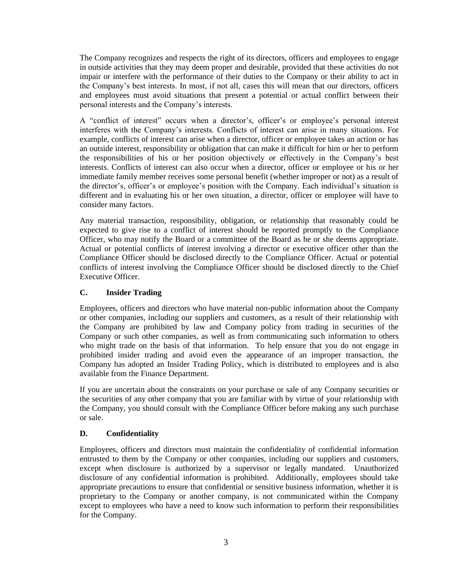The Company recognizes and respects the right of its directors, officers and employees to engage in outside activities that they may deem proper and desirable, provided that these activities do not impair or interfere with the performance of their duties to the Company or their ability to act in the Company's best interests. In most, if not all, cases this will mean that our directors, officers and employees must avoid situations that present a potential or actual conflict between their personal interests and the Company's interests.

A "conflict of interest" occurs when a director's, officer's or employee's personal interest interferes with the Company's interests. Conflicts of interest can arise in many situations. For example, conflicts of interest can arise when a director, officer or employee takes an action or has an outside interest, responsibility or obligation that can make it difficult for him or her to perform the responsibilities of his or her position objectively or effectively in the Company's best interests. Conflicts of interest can also occur when a director, officer or employee or his or her immediate family member receives some personal benefit (whether improper or not) as a result of the director's, officer's or employee's position with the Company. Each individual's situation is different and in evaluating his or her own situation, a director, officer or employee will have to consider many factors.

Any material transaction, responsibility, obligation, or relationship that reasonably could be expected to give rise to a conflict of interest should be reported promptly to the Compliance Officer, who may notify the Board or a committee of the Board as he or she deems appropriate. Actual or potential conflicts of interest involving a director or executive officer other than the Compliance Officer should be disclosed directly to the Compliance Officer. Actual or potential conflicts of interest involving the Compliance Officer should be disclosed directly to the Chief Executive Officer.

#### **C. Insider Trading**

Employees, officers and directors who have material non-public information about the Company or other companies, including our suppliers and customers, as a result of their relationship with the Company are prohibited by law and Company policy from trading in securities of the Company or such other companies, as well as from communicating such information to others who might trade on the basis of that information. To help ensure that you do not engage in prohibited insider trading and avoid even the appearance of an improper transaction, the Company has adopted an Insider Trading Policy, which is distributed to employees and is also available from the Finance Department.

If you are uncertain about the constraints on your purchase or sale of any Company securities or the securities of any other company that you are familiar with by virtue of your relationship with the Company, you should consult with the Compliance Officer before making any such purchase or sale.

#### **D. Confidentiality**

Employees, officers and directors must maintain the confidentiality of confidential information entrusted to them by the Company or other companies, including our suppliers and customers, except when disclosure is authorized by a supervisor or legally mandated. Unauthorized disclosure of any confidential information is prohibited. Additionally, employees should take appropriate precautions to ensure that confidential or sensitive business information, whether it is proprietary to the Company or another company, is not communicated within the Company except to employees who have a need to know such information to perform their responsibilities for the Company.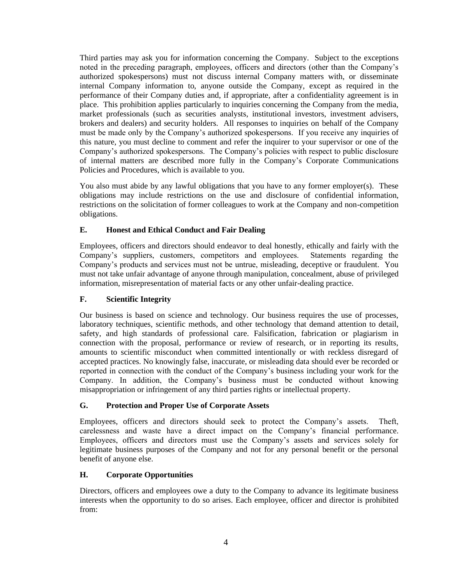Third parties may ask you for information concerning the Company. Subject to the exceptions noted in the preceding paragraph, employees, officers and directors (other than the Company's authorized spokespersons) must not discuss internal Company matters with, or disseminate internal Company information to, anyone outside the Company, except as required in the performance of their Company duties and, if appropriate, after a confidentiality agreement is in place. This prohibition applies particularly to inquiries concerning the Company from the media, market professionals (such as securities analysts, institutional investors, investment advisers, brokers and dealers) and security holders. All responses to inquiries on behalf of the Company must be made only by the Company's authorized spokespersons. If you receive any inquiries of this nature, you must decline to comment and refer the inquirer to your supervisor or one of the Company's authorized spokespersons. The Company's policies with respect to public disclosure of internal matters are described more fully in the Company's Corporate Communications Policies and Procedures, which is available to you.

You also must abide by any lawful obligations that you have to any former employer(s). These obligations may include restrictions on the use and disclosure of confidential information, restrictions on the solicitation of former colleagues to work at the Company and non-competition obligations.

# **E. Honest and Ethical Conduct and Fair Dealing**

Employees, officers and directors should endeavor to deal honestly, ethically and fairly with the Company's suppliers, customers, competitors and employees. Statements regarding the Company's products and services must not be untrue, misleading, deceptive or fraudulent. You must not take unfair advantage of anyone through manipulation, concealment, abuse of privileged information, misrepresentation of material facts or any other unfair-dealing practice.

# **F. Scientific Integrity**

Our business is based on science and technology. Our business requires the use of processes, laboratory techniques, scientific methods, and other technology that demand attention to detail, safety, and high standards of professional care. Falsification, fabrication or plagiarism in connection with the proposal, performance or review of research, or in reporting its results, amounts to scientific misconduct when committed intentionally or with reckless disregard of accepted practices. No knowingly false, inaccurate, or misleading data should ever be recorded or reported in connection with the conduct of the Company's business including your work for the Company. In addition, the Company's business must be conducted without knowing misappropriation or infringement of any third parties rights or intellectual property.

# **G. Protection and Proper Use of Corporate Assets**

Employees, officers and directors should seek to protect the Company's assets. Theft, carelessness and waste have a direct impact on the Company's financial performance. Employees, officers and directors must use the Company's assets and services solely for legitimate business purposes of the Company and not for any personal benefit or the personal benefit of anyone else.

# **H. Corporate Opportunities**

Directors, officers and employees owe a duty to the Company to advance its legitimate business interests when the opportunity to do so arises. Each employee, officer and director is prohibited from: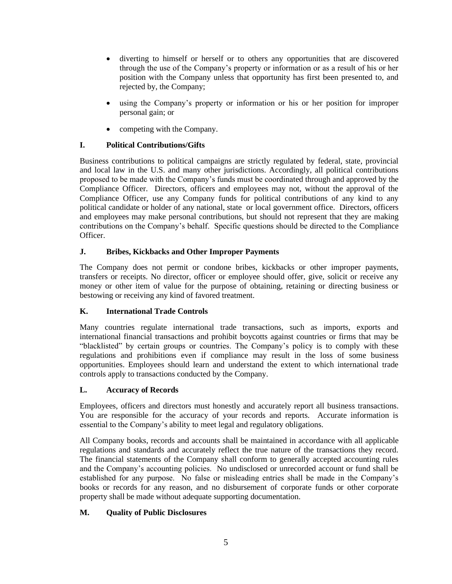- diverting to himself or herself or to others any opportunities that are discovered through the use of the Company's property or information or as a result of his or her position with the Company unless that opportunity has first been presented to, and rejected by, the Company;
- using the Company's property or information or his or her position for improper personal gain; or
- competing with the Company.

# **I. Political Contributions/Gifts**

Business contributions to political campaigns are strictly regulated by federal, state, provincial and local law in the U.S. and many other jurisdictions. Accordingly, all political contributions proposed to be made with the Company's funds must be coordinated through and approved by the Compliance Officer. Directors, officers and employees may not, without the approval of the Compliance Officer, use any Company funds for political contributions of any kind to any political candidate or holder of any national, state or local government office. Directors, officers and employees may make personal contributions, but should not represent that they are making contributions on the Company's behalf. Specific questions should be directed to the Compliance Officer.

# **J. Bribes, Kickbacks and Other Improper Payments**

The Company does not permit or condone bribes, kickbacks or other improper payments, transfers or receipts. No director, officer or employee should offer, give, solicit or receive any money or other item of value for the purpose of obtaining, retaining or directing business or bestowing or receiving any kind of favored treatment.

# **K. International Trade Controls**

Many countries regulate international trade transactions, such as imports, exports and international financial transactions and prohibit boycotts against countries or firms that may be "blacklisted" by certain groups or countries. The Company's policy is to comply with these regulations and prohibitions even if compliance may result in the loss of some business opportunities. Employees should learn and understand the extent to which international trade controls apply to transactions conducted by the Company.

# **L. Accuracy of Records**

Employees, officers and directors must honestly and accurately report all business transactions. You are responsible for the accuracy of your records and reports. Accurate information is essential to the Company's ability to meet legal and regulatory obligations.

All Company books, records and accounts shall be maintained in accordance with all applicable regulations and standards and accurately reflect the true nature of the transactions they record. The financial statements of the Company shall conform to generally accepted accounting rules and the Company's accounting policies. No undisclosed or unrecorded account or fund shall be established for any purpose. No false or misleading entries shall be made in the Company's books or records for any reason, and no disbursement of corporate funds or other corporate property shall be made without adequate supporting documentation.

# **M. Quality of Public Disclosures**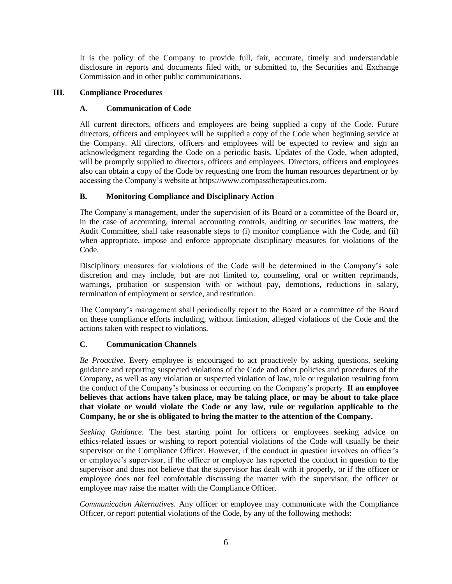It is the policy of the Company to provide full, fair, accurate, timely and understandable disclosure in reports and documents filed with, or submitted to, the Securities and Exchange Commission and in other public communications.

#### **III. Compliance Procedures**

#### **A. Communication of Code**

All current directors, officers and employees are being supplied a copy of the Code. Future directors, officers and employees will be supplied a copy of the Code when beginning service at the Company. All directors, officers and employees will be expected to review and sign an acknowledgment regarding the Code on a periodic basis. Updates of the Code, when adopted, will be promptly supplied to directors, officers and employees. Directors, officers and employees also can obtain a copy of the Code by requesting one from the human resources department or by accessing the Company's website at https://www.compasstherapeutics.com.

# **B. Monitoring Compliance and Disciplinary Action**

The Company's management, under the supervision of its Board or a committee of the Board or, in the case of accounting, internal accounting controls, auditing or securities law matters, the Audit Committee, shall take reasonable steps to (i) monitor compliance with the Code, and (ii) when appropriate, impose and enforce appropriate disciplinary measures for violations of the Code.

Disciplinary measures for violations of the Code will be determined in the Company's sole discretion and may include, but are not limited to, counseling, oral or written reprimands, warnings, probation or suspension with or without pay, demotions, reductions in salary, termination of employment or service, and restitution.

The Company's management shall periodically report to the Board or a committee of the Board on these compliance efforts including, without limitation, alleged violations of the Code and the actions taken with respect to violations.

# **C. Communication Channels**

*Be Proactive.* Every employee is encouraged to act proactively by asking questions, seeking guidance and reporting suspected violations of the Code and other policies and procedures of the Company, as well as any violation or suspected violation of law, rule or regulation resulting from the conduct of the Company's business or occurring on the Company's property. **If an employee believes that actions have taken place, may be taking place, or may be about to take place that violate or would violate the Code or any law, rule or regulation applicable to the Company, he or she is obligated to bring the matter to the attention of the Company.**

*Seeking Guidance.* The best starting point for officers or employees seeking advice on ethics-related issues or wishing to report potential violations of the Code will usually be their supervisor or the Compliance Officer. However, if the conduct in question involves an officer's or employee's supervisor, if the officer or employee has reported the conduct in question to the supervisor and does not believe that the supervisor has dealt with it properly, or if the officer or employee does not feel comfortable discussing the matter with the supervisor, the officer or employee may raise the matter with the Compliance Officer.

*Communication Alternatives.* Any officer or employee may communicate with the Compliance Officer, or report potential violations of the Code, by any of the following methods: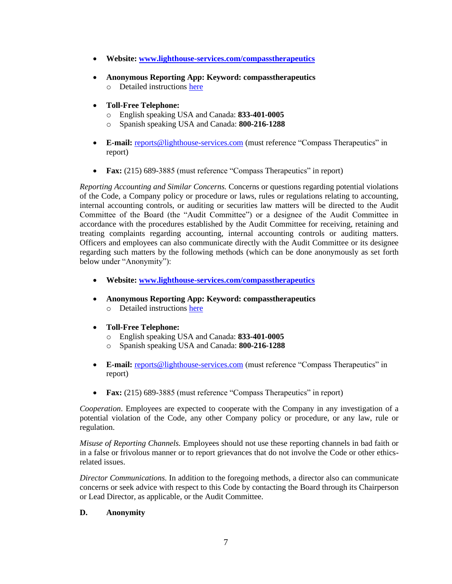- **Website: [www.lighthouse-services.com/compasstherapeutics](https://protect-us.mimecast.com/s/8_bJCxkzK8UBzLMIvyEoY?domain=lighthouse-services.com)**
- **Anonymous Reporting App: Keyword: compasstherapeutics** o Detailed instructions [here](https://protect-us.mimecast.com/s/FiC9CKr73zH96DEFkImC8?domain=lighthouse-services.com)
- **Toll-Free Telephone:**
	- o English speaking USA and Canada: **833-401-0005**
	- o Spanish speaking USA and Canada: **800-216-1288**
- **E-mail:** [reports@lighthouse-services.com](mailto:reports@lighthouse-services.com) (must reference "Compass Therapeutics" in report)
- **Fax:** (215) 689-3885 (must reference "Compass Therapeutics" in report)

*Reporting Accounting and Similar Concerns.* Concerns or questions regarding potential violations of the Code, a Company policy or procedure or laws, rules or regulations relating to accounting, internal accounting controls, or auditing or securities law matters will be directed to the Audit Committee of the Board (the "Audit Committee") or a designee of the Audit Committee in accordance with the procedures established by the Audit Committee for receiving, retaining and treating complaints regarding accounting, internal accounting controls or auditing matters. Officers and employees can also communicate directly with the Audit Committee or its designee regarding such matters by the following methods (which can be done anonymously as set forth below under "Anonymity"):

- **Website: [www.lighthouse-services.com/compasstherapeutics](https://protect-us.mimecast.com/s/8_bJCxkzK8UBzLMIvyEoY?domain=lighthouse-services.com)**
- **Anonymous Reporting App: Keyword: compasstherapeutics** o Detailed instructions [here](https://protect-us.mimecast.com/s/FiC9CKr73zH96DEFkImC8?domain=lighthouse-services.com)
- **Toll-Free Telephone:**
	- o English speaking USA and Canada: **833-401-0005**
	- o Spanish speaking USA and Canada: **800-216-1288**
- **E-mail:** [reports@lighthouse-services.com](mailto:reports@lighthouse-services.com) (must reference "Compass Therapeutics" in report)
- **Fax:** (215) 689-3885 (must reference "Compass Therapeutics" in report)

*Cooperation*. Employees are expected to cooperate with the Company in any investigation of a potential violation of the Code, any other Company policy or procedure, or any law, rule or regulation.

*Misuse of Reporting Channels.* Employees should not use these reporting channels in bad faith or in a false or frivolous manner or to report grievances that do not involve the Code or other ethicsrelated issues.

*Director Communications.* In addition to the foregoing methods, a director also can communicate concerns or seek advice with respect to this Code by contacting the Board through its Chairperson or Lead Director, as applicable, or the Audit Committee.

#### **D. Anonymity**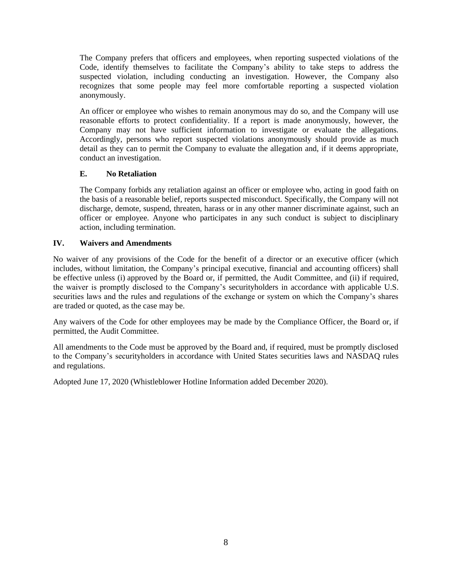The Company prefers that officers and employees, when reporting suspected violations of the Code, identify themselves to facilitate the Company's ability to take steps to address the suspected violation, including conducting an investigation. However, the Company also recognizes that some people may feel more comfortable reporting a suspected violation anonymously.

An officer or employee who wishes to remain anonymous may do so, and the Company will use reasonable efforts to protect confidentiality. If a report is made anonymously, however, the Company may not have sufficient information to investigate or evaluate the allegations. Accordingly, persons who report suspected violations anonymously should provide as much detail as they can to permit the Company to evaluate the allegation and, if it deems appropriate, conduct an investigation.

#### **E. No Retaliation**

The Company forbids any retaliation against an officer or employee who, acting in good faith on the basis of a reasonable belief, reports suspected misconduct. Specifically, the Company will not discharge, demote, suspend, threaten, harass or in any other manner discriminate against, such an officer or employee. Anyone who participates in any such conduct is subject to disciplinary action, including termination.

#### **IV. Waivers and Amendments**

No waiver of any provisions of the Code for the benefit of a director or an executive officer (which includes, without limitation, the Company's principal executive, financial and accounting officers) shall be effective unless (i) approved by the Board or, if permitted, the Audit Committee, and (ii) if required, the waiver is promptly disclosed to the Company's securityholders in accordance with applicable U.S. securities laws and the rules and regulations of the exchange or system on which the Company's shares are traded or quoted, as the case may be.

Any waivers of the Code for other employees may be made by the Compliance Officer, the Board or, if permitted, the Audit Committee.

All amendments to the Code must be approved by the Board and, if required, must be promptly disclosed to the Company's securityholders in accordance with United States securities laws and NASDAQ rules and regulations.

Adopted June 17, 2020 (Whistleblower Hotline Information added December 2020).